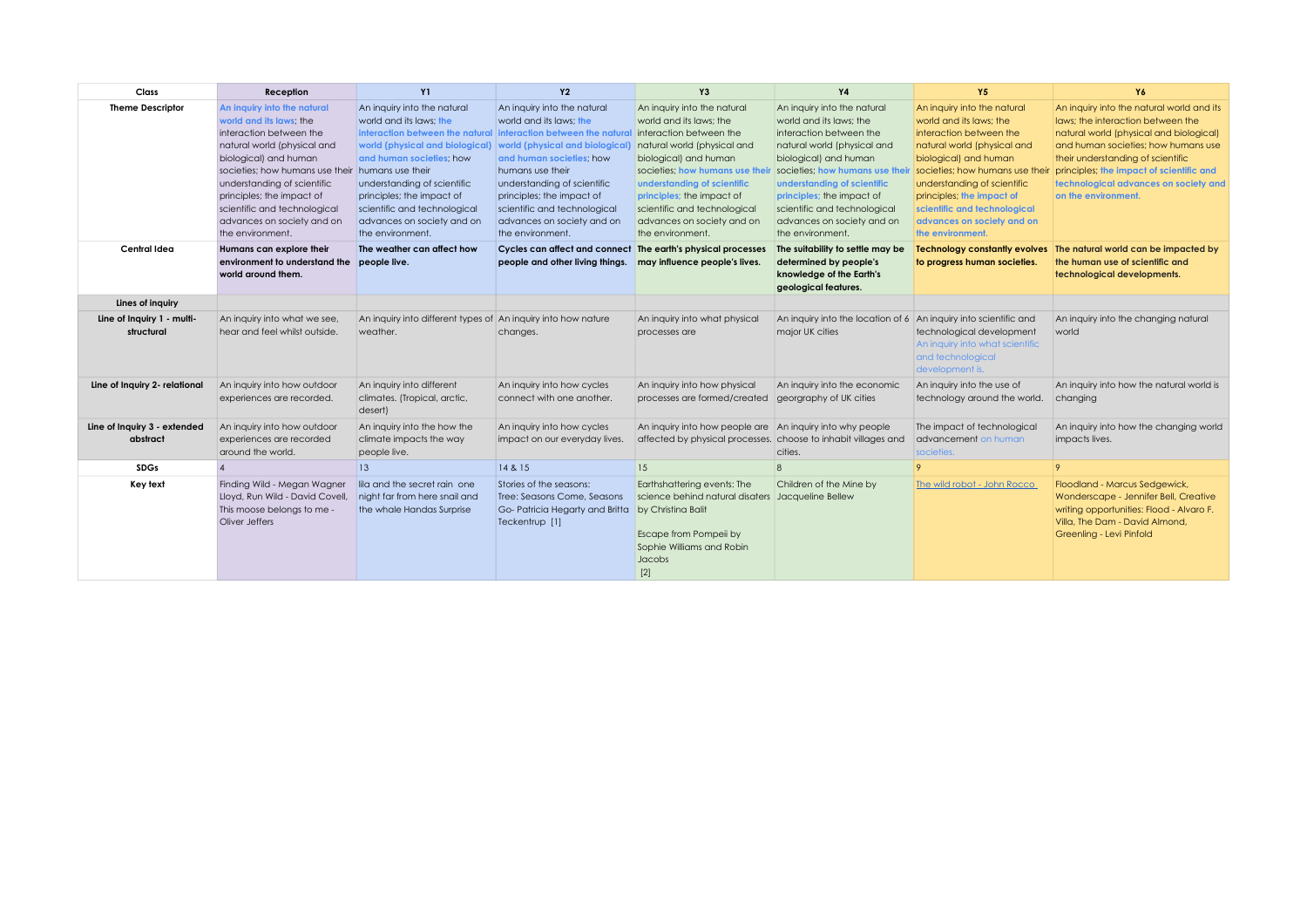| Class                                    | Reception                                                                                                                                                                                                                                                                                                                                   | <b>Y1</b>                                                                                                                                                                                                                                                           | <b>Y2</b>                                                                                                                                                                                                                                                                                                                                                                          | Y3                                                                                                                                                                                                                                                                                              | <b>Y4</b>                                                                                                                                                                                                                                                                                                                  | Y5                                                                                                                                                                                                                                                                                                                         | Υ6                                                                                                                                                                                                                                                                                                                |
|------------------------------------------|---------------------------------------------------------------------------------------------------------------------------------------------------------------------------------------------------------------------------------------------------------------------------------------------------------------------------------------------|---------------------------------------------------------------------------------------------------------------------------------------------------------------------------------------------------------------------------------------------------------------------|------------------------------------------------------------------------------------------------------------------------------------------------------------------------------------------------------------------------------------------------------------------------------------------------------------------------------------------------------------------------------------|-------------------------------------------------------------------------------------------------------------------------------------------------------------------------------------------------------------------------------------------------------------------------------------------------|----------------------------------------------------------------------------------------------------------------------------------------------------------------------------------------------------------------------------------------------------------------------------------------------------------------------------|----------------------------------------------------------------------------------------------------------------------------------------------------------------------------------------------------------------------------------------------------------------------------------------------------------------------------|-------------------------------------------------------------------------------------------------------------------------------------------------------------------------------------------------------------------------------------------------------------------------------------------------------------------|
| <b>Theme Descriptor</b>                  | An inquiry into the natural<br>world and its laws: the<br>interaction between the<br>natural world (physical and<br>biological) and human<br>societies; how humans use their humans use their<br>understanding of scientific<br>principles; the impact of<br>scientific and technological<br>advances on society and on<br>the environment. | An inquiry into the natural<br>world and its laws: the<br>world (physical and biological)<br>and human societies: how<br>understanding of scientific<br>principles; the impact of<br>scientific and technological<br>advances on society and on<br>the environment. | An inquiry into the natural<br>world and its laws: the<br>interaction between the natural interaction between the natural interaction between the<br>world (physical and biological)<br>and human societies: how<br>humans use their<br>understanding of scientific<br>principles; the impact of<br>scientific and technological<br>advances on society and on<br>the environment. | An inquiry into the natural<br>world and its laws: the<br>natural world (physical and<br>biological) and human<br>societies: how humans use their<br>understanding of scientific<br>principles; the impact of<br>scientific and technological<br>advances on society and on<br>the environment. | An inquiry into the natural<br>world and its laws: the<br>interaction between the<br>natural world (physical and<br>biological) and human<br>societies: how humans use their<br>understanding of scientific<br>principles; the impact of<br>scientific and technological<br>advances on society and on<br>the environment. | An inquiry into the natural<br>world and its laws: the<br>interaction between the<br>natural world (physical and<br>biological) and human<br>societies; how humans use their<br>understanding of scientific<br>principles; the impact of<br>scientific and technological<br>advances on society and on<br>the environment. | An inquiry into the natural world and its<br>laws: the interaction between the<br>natural world (physical and biological)<br>and human societies: how humans use<br>their understanding of scientific<br>principles; the impact of scientific and<br>technological advances on society and<br>on the environment. |
| Central Idea                             | Humans can explore their<br>environment to understand the<br>world around them.                                                                                                                                                                                                                                                             | The weather can affect how<br>people live.                                                                                                                                                                                                                          | people and other living things.                                                                                                                                                                                                                                                                                                                                                    | Cycles can affect and connect The earth's physical processes<br>may influence people's lives.                                                                                                                                                                                                   | The suitability to settle may be<br>determined by people's<br>knowledge of the Earth's<br>geological features.                                                                                                                                                                                                             | <b>Technology constantly evolves</b><br>to progress human societies.                                                                                                                                                                                                                                                       | The natural world can be impacted by<br>the human use of scientific and<br>technological developments.                                                                                                                                                                                                            |
| Lines of inquiry                         |                                                                                                                                                                                                                                                                                                                                             |                                                                                                                                                                                                                                                                     |                                                                                                                                                                                                                                                                                                                                                                                    |                                                                                                                                                                                                                                                                                                 |                                                                                                                                                                                                                                                                                                                            |                                                                                                                                                                                                                                                                                                                            |                                                                                                                                                                                                                                                                                                                   |
| Line of Inquiry 1 - multi-<br>structural | An inquiry into what we see,<br>hear and feel whilst outside.                                                                                                                                                                                                                                                                               | An inquiry into different types of An inquiry into how nature<br>weather.                                                                                                                                                                                           | changes.                                                                                                                                                                                                                                                                                                                                                                           | An inquiry into what physical<br>processes are                                                                                                                                                                                                                                                  | An inquiry into the location of 6 An inquiry into scientific and<br>major UK cities                                                                                                                                                                                                                                        | technological development<br>An inquiry into what scientific<br>and technological<br>development is.                                                                                                                                                                                                                       | An inquiry into the changing natural<br>world                                                                                                                                                                                                                                                                     |
| Line of Inquiry 2- relational            | An inquiry into how outdoor<br>experiences are recorded.                                                                                                                                                                                                                                                                                    | An inquiry into different<br>climates. (Tropical, arctic,<br>desert)                                                                                                                                                                                                | An inquiry into how cycles<br>connect with one another.                                                                                                                                                                                                                                                                                                                            | An inquiry into how physical<br>processes are formed/created                                                                                                                                                                                                                                    | An inquiry into the economic<br>georgraphy of UK cities                                                                                                                                                                                                                                                                    | An inquiry into the use of<br>technology around the world.                                                                                                                                                                                                                                                                 | An inquiry into how the natural world is<br>changing                                                                                                                                                                                                                                                              |
| Line of Inquiry 3 - extended<br>abstract | An inquiry into how outdoor<br>experiences are recorded<br>around the world.                                                                                                                                                                                                                                                                | An inquiry into the how the<br>climate impacts the way<br>people live.                                                                                                                                                                                              | An inquiry into how cycles<br>impact on our everyday lives.                                                                                                                                                                                                                                                                                                                        | An inquiry into how people are An inquiry into why people<br>affected by physical processes. choose to inhabit villages and                                                                                                                                                                     | cities.                                                                                                                                                                                                                                                                                                                    | The impact of technological<br>advancement on human<br>societies.                                                                                                                                                                                                                                                          | An inquiry into how the changing world<br>impacts lives.                                                                                                                                                                                                                                                          |
| <b>SDGs</b>                              |                                                                                                                                                                                                                                                                                                                                             | 13                                                                                                                                                                                                                                                                  | 14 & 15                                                                                                                                                                                                                                                                                                                                                                            | 15                                                                                                                                                                                                                                                                                              |                                                                                                                                                                                                                                                                                                                            | $\circ$                                                                                                                                                                                                                                                                                                                    | 9                                                                                                                                                                                                                                                                                                                 |
| Key text                                 | Finding Wild - Megan Wagner<br>Lloyd, Run Wild - David Covell,<br>This moose belongs to me -<br>Oliver Jeffers                                                                                                                                                                                                                              | lila and the secret rain one<br>night far from here snail and<br>the whale Handas Surprise                                                                                                                                                                          | Stories of the seasons:<br>Tree: Seasons Come, Seasons<br>Go-Patricia Hegarty and Britta<br>Teckentrup [1]                                                                                                                                                                                                                                                                         | Earthshattering events: The<br>science behind natural disaters<br>by Christina Balit<br>Escape from Pompeii by<br>Sophie Williams and Robin<br>Jacobs<br>$[2]$                                                                                                                                  | Children of the Mine by<br>Jacqueline Bellew                                                                                                                                                                                                                                                                               | The wild robot - John Rocco                                                                                                                                                                                                                                                                                                | Floodland - Marcus Sedgewick,<br>Wonderscape - Jennifer Bell, Creative<br>writing opportunities: Flood - Alvaro F.<br>Villa, The Dam - David Almond.<br>Greenling - Levi Pinfold                                                                                                                                  |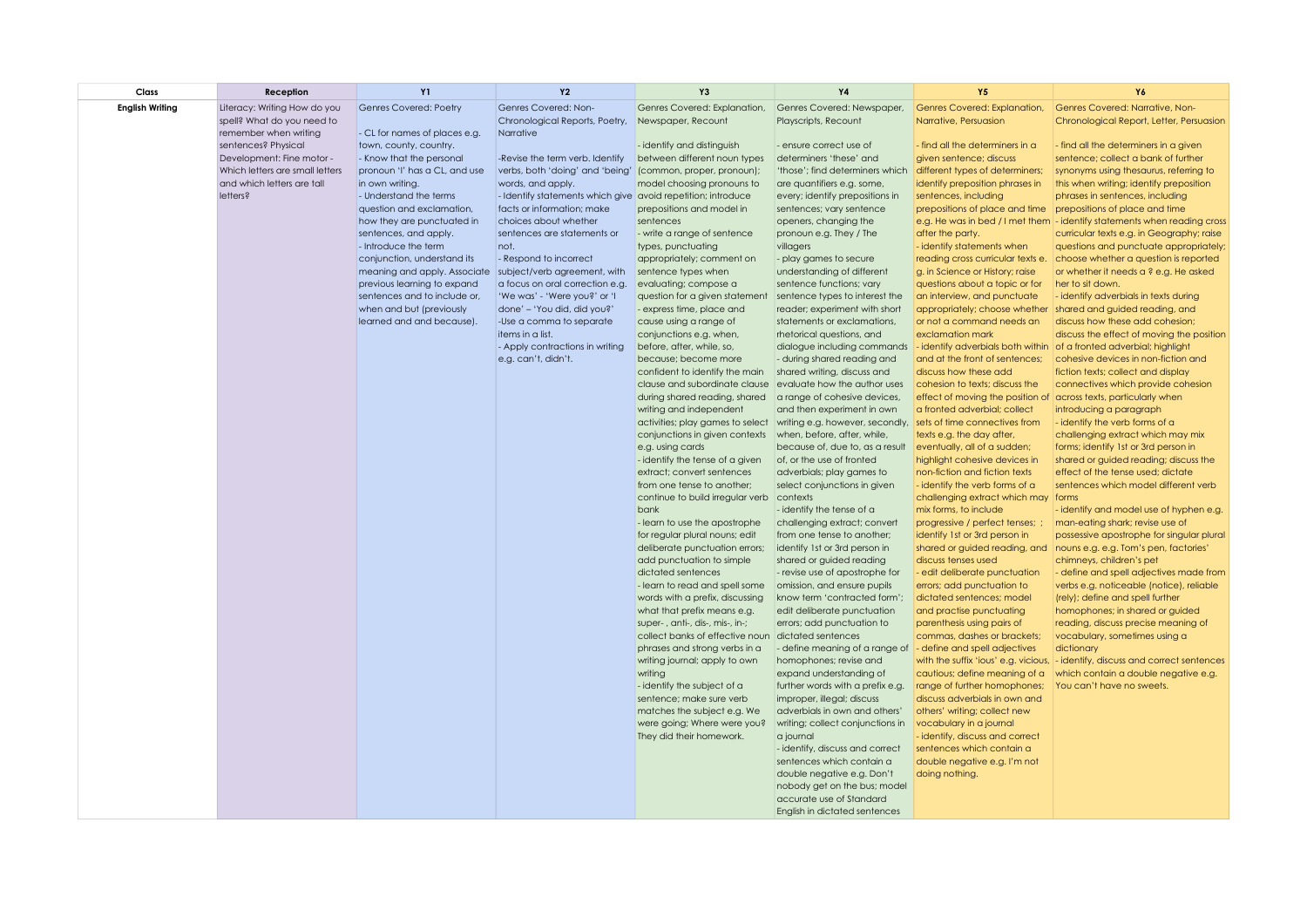| Class                  | Reception                                                     | <b>Y1</b>                                                 | <b>Y2</b>                                                    | Y3                                                                                    | <b>Y4</b>                                                                                      | Y5                                                                    | Y6                                                                                |
|------------------------|---------------------------------------------------------------|-----------------------------------------------------------|--------------------------------------------------------------|---------------------------------------------------------------------------------------|------------------------------------------------------------------------------------------------|-----------------------------------------------------------------------|-----------------------------------------------------------------------------------|
| <b>English Writing</b> | Literacy: Writing How do you                                  | Genres Covered: Poetry                                    | Genres Covered: Non-                                         | Genres Covered: Explanation,                                                          | Genres Covered: Newspaper,                                                                     | Genres Covered: Explanation,                                          | Genres Covered: Narrative, Non-                                                   |
|                        | spell? What do you need to                                    |                                                           | Chronological Reports, Poetry,                               | Newspaper, Recount                                                                    | Playscripts, Recount                                                                           | Narrative, Persuasion                                                 | Chronological Report, Letter, Persuasion                                          |
|                        | remember when writing                                         | - CL for names of places e.g.                             | Narrative                                                    |                                                                                       |                                                                                                |                                                                       |                                                                                   |
|                        | sentences? Physical                                           | town, county, country.                                    |                                                              | - identify and distinguish                                                            | - ensure correct use of                                                                        | find all the determiners in a                                         | - find all the determiners in a given                                             |
|                        | Development: Fine motor -                                     | - Know that the personal                                  | -Revise the term verb. Identify                              | between different noun types                                                          | determiners 'these' and                                                                        | given sentence; discuss                                               | sentence; collect a bank of further                                               |
|                        | Which letters are small letters<br>and which letters are tall | pronoun 'I' has a CL, and use<br>in own writing.          | verbs, both 'doing' and 'being'<br>words, and apply.         | (common, proper, pronoun);<br>model choosing pronouns to                              | 'those'; find determiners which<br>are quantifiers e.g. some,                                  | different types of determiners;<br>identify preposition phrases in    | synonyms using thesaurus, referring to<br>this when writing; identify preposition |
|                        | letters?                                                      | - Understand the terms                                    | - Identify statements which give avoid repetition; introduce |                                                                                       | every; identify prepositions in                                                                | sentences, including                                                  | phrases in sentences, including                                                   |
|                        |                                                               | question and exclamation,                                 | facts or information; make                                   | prepositions and model in                                                             | sentences; vary sentence                                                                       | prepositions of place and time prepositions of place and time         |                                                                                   |
|                        |                                                               | how they are punctuated in                                | choices about whether                                        | sentences                                                                             | openers, changing the                                                                          |                                                                       | e.g. He was in bed / I met them   - identify statements when reading cross        |
|                        |                                                               | sentences, and apply.                                     | sentences are statements or                                  | - write a range of sentence                                                           | pronoun e.g. They / The                                                                        | after the party.                                                      | curricular texts e.g. in Geography; raise                                         |
|                        |                                                               | - Introduce the term                                      | not.                                                         | types, punctuating                                                                    | villagers                                                                                      | - identify statements when                                            | questions and punctuate appropriately;                                            |
|                        |                                                               | conjunction, understand its                               | - Respond to incorrect                                       | appropriately; comment on                                                             | - play games to secure                                                                         |                                                                       | reading cross curricular texts e. choose whether a question is reported           |
|                        |                                                               | meaning and apply. Associate subject/verb agreement, with |                                                              | sentence types when                                                                   | understanding of different                                                                     | g. in Science or History; raise                                       | or whether it needs a ? e.g. He asked                                             |
|                        |                                                               | previous learning to expand                               | a focus on oral correction e.g.                              | evaluating; compose a                                                                 | sentence functions; vary                                                                       | questions about a topic or for                                        | her to sit down.                                                                  |
|                        |                                                               | sentences and to include or,                              | 'We was' - 'Were you?' or 'I                                 | question for a given statement                                                        | sentence types to interest the                                                                 | an interview, and punctuate                                           | - identify adverbials in texts during                                             |
|                        |                                                               | when and but (previously                                  | done' - 'You did, did you?'                                  | - express time, place and                                                             | reader; experiment with short                                                                  | appropriately; choose whether                                         | shared and guided reading, and                                                    |
|                        |                                                               | learned and and because).                                 | -Use a comma to separate                                     | cause using a range of                                                                | statements or exclamations,                                                                    | or not a command needs an                                             | discuss how these add cohesion;                                                   |
|                        |                                                               |                                                           | litems in a list.<br>- Apply contractions in writing         | conjunctions e.g. when,<br>before, after, while, so,                                  | rhetorical questions, and<br>dialogue including commands                                       | exclamation mark<br>- identify adverbials both within                 | discuss the effect of moving the position<br>of a fronted adverbial; highlight    |
|                        |                                                               |                                                           | e.g. can't, didn't.                                          | because; become more                                                                  | - during shared reading and                                                                    | and at the front of sentences;                                        | cohesive devices in non-fiction and                                               |
|                        |                                                               |                                                           |                                                              | confident to identify the main                                                        | shared writing, discuss and                                                                    | discuss how these add                                                 | fiction texts; collect and display                                                |
|                        |                                                               |                                                           |                                                              | clause and subordinate clause evaluate how the author uses                            |                                                                                                | cohesion to texts; discuss the                                        | connectives which provide cohesion                                                |
|                        |                                                               |                                                           |                                                              | during shared reading, shared                                                         | a range of cohesive devices,                                                                   | effect of moving the position of                                      | across texts, particularly when                                                   |
|                        |                                                               |                                                           |                                                              | writing and independent                                                               | and then experiment in own                                                                     | a fronted adverbial; collect                                          | introducing a paragraph                                                           |
|                        |                                                               |                                                           |                                                              |                                                                                       | activities; play games to select writing e.g. however, secondly, sets of time connectives from |                                                                       | - identify the verb forms of a                                                    |
|                        |                                                               |                                                           |                                                              | conjunctions in given contexts when, before, after, while,                            |                                                                                                | texts e.g. the day after,                                             | challenging extract which may mix                                                 |
|                        |                                                               |                                                           |                                                              | e.g. using cards                                                                      | because of, due to, as a result                                                                | eventually, all of a sudden;                                          | forms; identify 1st or 3rd person in                                              |
|                        |                                                               |                                                           |                                                              | - identify the tense of a given                                                       | of, or the use of fronted                                                                      | highlight cohesive devices in                                         | shared or guided reading; discuss the                                             |
|                        |                                                               |                                                           |                                                              | extract; convert sentences                                                            | adverbials; play games to                                                                      | non-fiction and fiction texts                                         | effect of the tense used; dictate                                                 |
|                        |                                                               |                                                           |                                                              | from one tense to another;<br>continue to build irregular verb contexts               | select conjunctions in given                                                                   | - identify the verb forms of a<br>challenging extract which may forms | sentences which model different verb                                              |
|                        |                                                               |                                                           |                                                              | bank                                                                                  | - identify the tense of a                                                                      | mix forms, to include                                                 | - identify and model use of hyphen e.g.                                           |
|                        |                                                               |                                                           |                                                              | - learn to use the apostrophe                                                         | challenging extract; convert                                                                   | progressive / perfect tenses; ;                                       | man-eating shark; revise use of                                                   |
|                        |                                                               |                                                           |                                                              | for regular plural nouns; edit                                                        | from one tense to another;                                                                     | identify 1st or 3rd person in                                         | possessive apostrophe for singular plural                                         |
|                        |                                                               |                                                           |                                                              | deliberate punctuation errors;                                                        | identify 1st or 3rd person in                                                                  |                                                                       | shared or guided reading, and nouns e.g. e.g. Tom's pen, factories'               |
|                        |                                                               |                                                           |                                                              | add punctuation to simple                                                             | shared or guided reading                                                                       | discuss tenses used                                                   | chimneys, children's pet                                                          |
|                        |                                                               |                                                           |                                                              | dictated sentences                                                                    | - revise use of apostrophe for                                                                 | edit deliberate punctuation                                           | - define and spell adjectives made from                                           |
|                        |                                                               |                                                           |                                                              | - learn to read and spell some                                                        | omission, and ensure pupils                                                                    | errors; add punctuation to                                            | verbs e.g. noticeable (notice), reliable                                          |
|                        |                                                               |                                                           |                                                              | words with a prefix, discussing                                                       | know term 'contracted form';                                                                   | dictated sentences; model                                             | (rely); define and spell further                                                  |
|                        |                                                               |                                                           |                                                              | what that prefix means e.g.                                                           | edit deliberate punctuation                                                                    | and practise punctuating                                              | homophones; in shared or guided                                                   |
|                        |                                                               |                                                           |                                                              | super-, anti-, dis-, mis-, in-;<br>collect banks of effective noun dictated sentences | errors; add punctuation to                                                                     | parenthesis using pairs of<br>commas, dashes or brackets;             | reading, discuss precise meaning of<br>vocabulary, sometimes using a              |
|                        |                                                               |                                                           |                                                              | phrases and strong verbs in a                                                         | - define meaning of a range of                                                                 | - define and spell adjectives                                         | dictionary                                                                        |
|                        |                                                               |                                                           |                                                              | writing journal; apply to own                                                         | homophones; revise and                                                                         | with the suffix 'ious' e.g. vicious,                                  | - identify, discuss and correct sentences                                         |
|                        |                                                               |                                                           |                                                              | writing                                                                               | expand understanding of                                                                        | cautious; define meaning of a                                         | which contain a double negative e.g.                                              |
|                        |                                                               |                                                           |                                                              | - identify the subject of a                                                           | further words with a prefix e.g.                                                               | range of further homophones;                                          | You can't have no sweets.                                                         |
|                        |                                                               |                                                           |                                                              | sentence; make sure verb                                                              | improper, illegal; discuss                                                                     | discuss adverbials in own and                                         |                                                                                   |
|                        |                                                               |                                                           |                                                              | matches the subject e.g. We                                                           | adverbials in own and others'                                                                  | others' writing; collect new                                          |                                                                                   |
|                        |                                                               |                                                           |                                                              | were going; Where were you?                                                           | writing; collect conjunctions in                                                               | vocabulary in a journal                                               |                                                                                   |
|                        |                                                               |                                                           |                                                              | They did their homework.                                                              | a journal                                                                                      | identify, discuss and correct                                         |                                                                                   |
|                        |                                                               |                                                           |                                                              |                                                                                       | - identify, discuss and correct                                                                | sentences which contain a                                             |                                                                                   |
|                        |                                                               |                                                           |                                                              |                                                                                       | sentences which contain a<br>double negative e.g. Don't                                        | double negative e.g. I'm not<br>doing nothing.                        |                                                                                   |
|                        |                                                               |                                                           |                                                              |                                                                                       | nobody get on the bus; model                                                                   |                                                                       |                                                                                   |
|                        |                                                               |                                                           |                                                              |                                                                                       | accurate use of Standard                                                                       |                                                                       |                                                                                   |
|                        |                                                               |                                                           |                                                              |                                                                                       | Enalish in dictated sentences                                                                  |                                                                       |                                                                                   |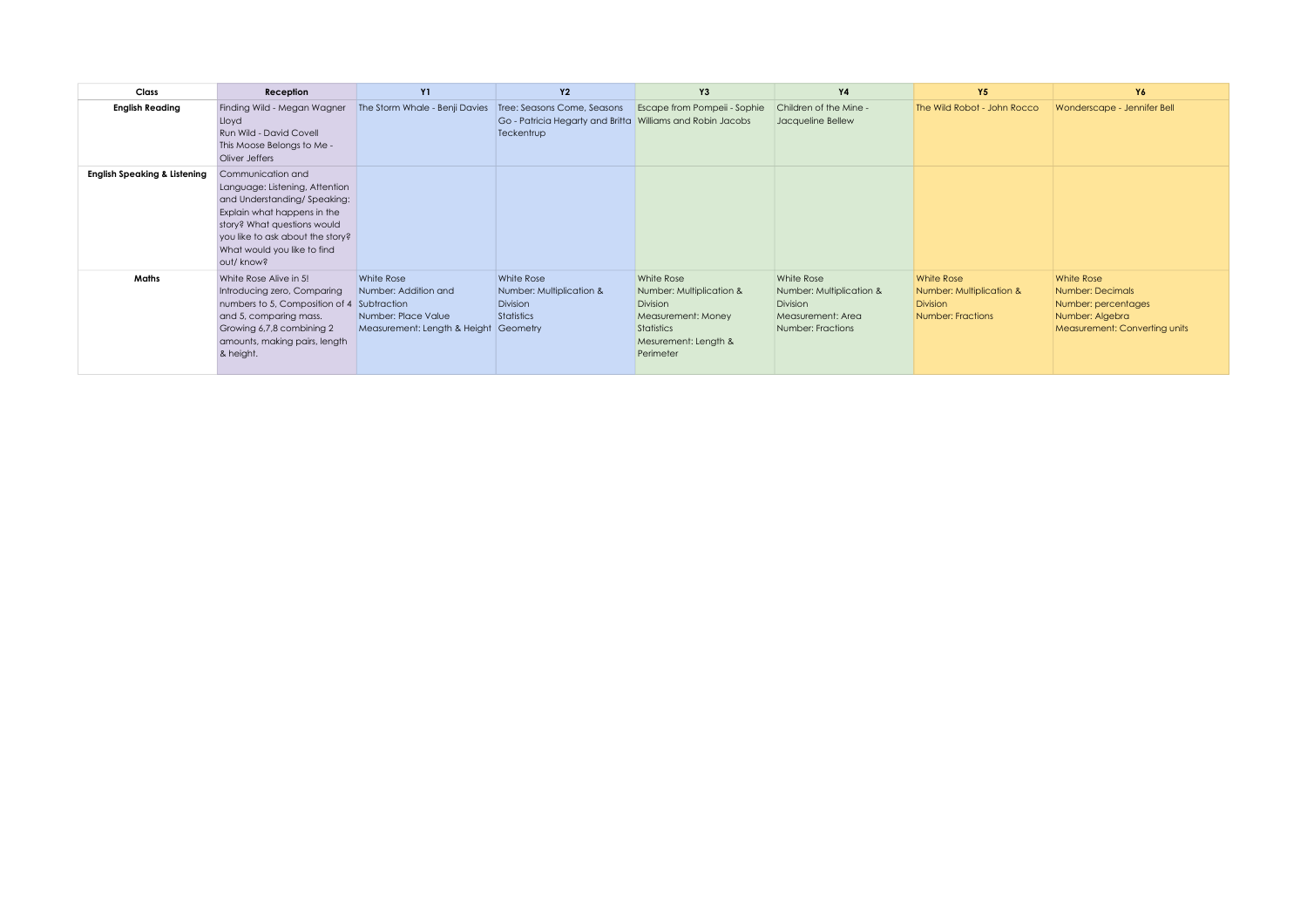| Class                                   | Reception                                                                                                                                                                                                                        | <b>Y1</b>                                                                                                | <b>Y2</b>                                                                                               | Y <sub>3</sub>                                                                                                                            | <b>Y4</b>                                                                                           | <b>Y5</b>                                                                      | Y6                                                                                                        |
|-----------------------------------------|----------------------------------------------------------------------------------------------------------------------------------------------------------------------------------------------------------------------------------|----------------------------------------------------------------------------------------------------------|---------------------------------------------------------------------------------------------------------|-------------------------------------------------------------------------------------------------------------------------------------------|-----------------------------------------------------------------------------------------------------|--------------------------------------------------------------------------------|-----------------------------------------------------------------------------------------------------------|
| <b>English Reading</b>                  | Finding Wild - Megan Wagner<br>Lloyd<br>Run Wild - David Covell<br>This Moose Belongs to Me -<br>Oliver Jeffers                                                                                                                  | The Storm Whale - Benji Davies                                                                           | Tree: Seasons Come, Seasons<br>Go - Patricia Hegarty and Britta Williams and Robin Jacobs<br>Teckentrup | Escape from Pompeii - Sophie                                                                                                              | Children of the Mine -<br>Jacqueline Bellew                                                         | The Wild Robot - John Rocco                                                    | Wonderscape - Jennifer Bell                                                                               |
| <b>English Speaking &amp; Listening</b> | Communication and<br>Language: Listening, Attention<br>and Understanding/Speaking:<br>Explain what happens in the<br>story? What questions would<br>you like to ask about the story?<br>What would you like to find<br>out/know? |                                                                                                          |                                                                                                         |                                                                                                                                           |                                                                                                     |                                                                                |                                                                                                           |
| Maths                                   | White Rose Alive in 5!<br>Introducing zero, Comparing<br>numbers to 5, Composition of 4<br>and 5, comparing mass.<br>Growing 6,7,8 combining 2<br>amounts, making pairs, length<br>& height.                                     | White Rose<br>Number: Addition and<br>Subtraction<br>Number: Place Value<br>Measurement: Length & Height | White Rose<br>Number: Multiplication &<br><b>Division</b><br><b>Statistics</b><br>Geometry              | White Rose<br>Number: Multiplication &<br><b>Division</b><br>Measurement: Money<br><b>Statistics</b><br>Mesurement: Length &<br>Perimeter | White Rose<br>Number: Multiplication &<br><b>Division</b><br>Measurement: Area<br>Number: Fractions | White Rose<br>Number: Multiplication &<br><b>Division</b><br>Number: Fractions | White Rose<br>Number: Decimals<br>Number: percentages<br>Number: Algebra<br>Measurement: Converting units |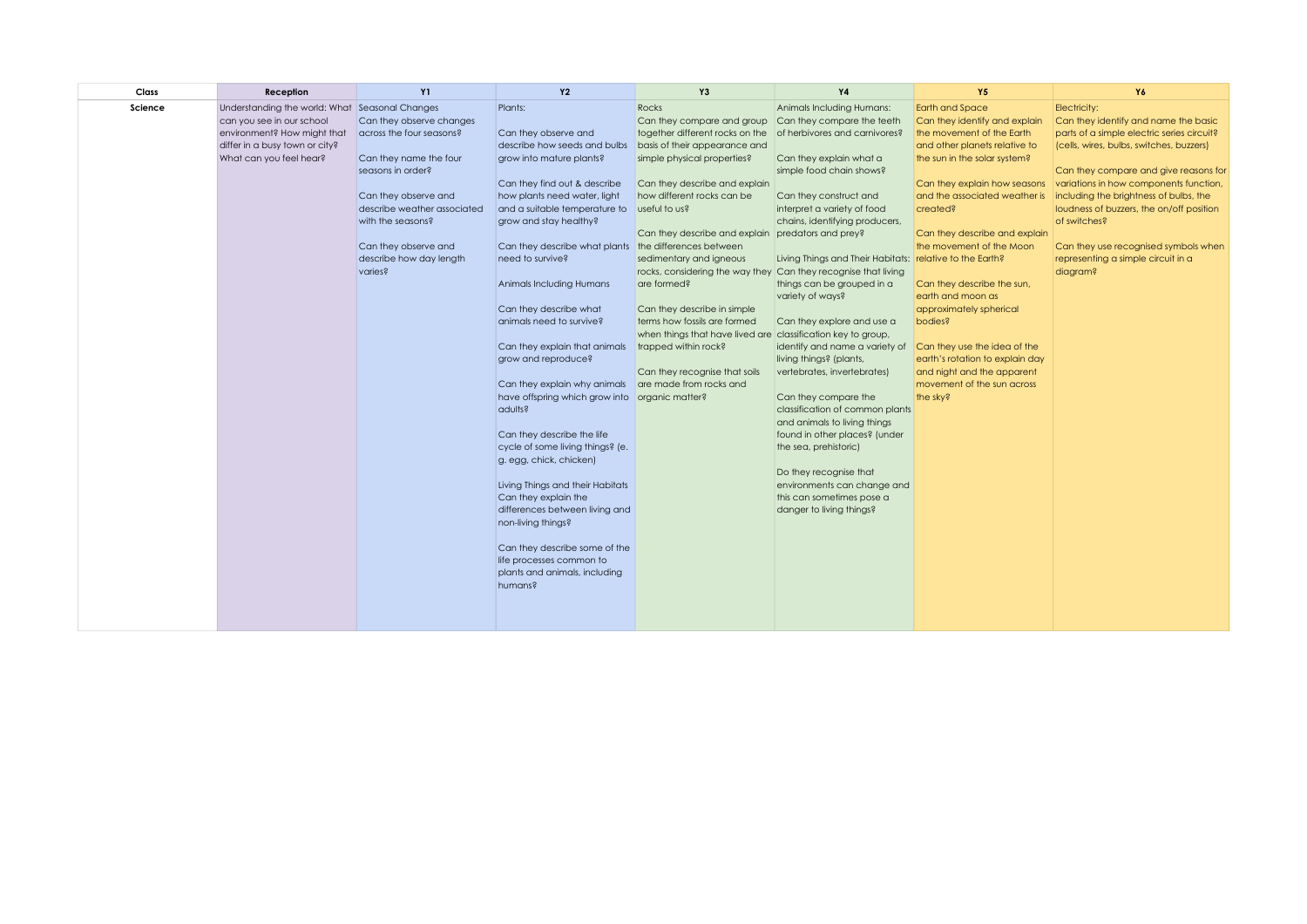| Class   | Reception                      | <b>Y1</b>                                   | <b>Y2</b>                                             | Y3                                                           | <b>Y4</b>                                                 | <b>Y5</b>                                                     | Y6                                         |
|---------|--------------------------------|---------------------------------------------|-------------------------------------------------------|--------------------------------------------------------------|-----------------------------------------------------------|---------------------------------------------------------------|--------------------------------------------|
| Science | Understanding the world: What  | Seasonal Changes                            | Plants:                                               | Rocks                                                        | Animals Including Humans:                                 | <b>Earth and Space</b>                                        | Electricity:                               |
|         | can you see in our school      | Can they observe changes                    |                                                       | Can they compare and group                                   | Can they compare the teeth                                | Can they identify and explain                                 | Can they identify and name the basic       |
|         | environment? How might that    | across the four seasons?                    | Can they observe and                                  | together different rocks on the                              | of herbivores and carnivores?                             | the movement of the Earth                                     | parts of a simple electric series circuit? |
|         | differ in a busy town or city? |                                             | describe how seeds and bulbs                          | basis of their appearance and                                |                                                           | and other planets relative to                                 | (cells, wires, bulbs, switches, buzzers)   |
|         | What can you feel hear?        | Can they name the four<br>seasons in order? | grow into mature plants?                              | simple physical properties?                                  | Can they explain what a<br>simple food chain shows?       | the sun in the solar system?                                  | Can they compare and give reasons for      |
|         |                                |                                             | Can they find out & describe                          | Can they describe and explain                                |                                                           | Can they explain how seasons                                  | variations in how components function,     |
|         |                                | Can they observe and                        | how plants need water, light                          | how different rocks can be                                   | Can they construct and                                    | and the associated weather is                                 | including the brightness of bulbs, the     |
|         |                                | describe weather associated                 | and a suitable temperature to                         | useful to us?                                                | interpret a variety of food                               | created?                                                      | loudness of buzzers, the on/off position   |
|         |                                | with the seasons?                           | grow and stay healthy?                                |                                                              | chains, identifying producers,                            |                                                               | of switches?                               |
|         |                                |                                             |                                                       | Can they describe and explain                                | predators and prey?                                       | Can they describe and explain                                 |                                            |
|         |                                | Can they observe and                        | Can they describe what plants the differences between |                                                              |                                                           | the movement of the Moon                                      | Can they use recognised symbols when       |
|         |                                | describe how day length                     | need to survive?                                      | sedimentary and igneous                                      | Living Things and Their Habitats: relative to the Earth?  |                                                               | representing a simple circuit in a         |
|         |                                | varies?                                     |                                                       | rocks, considering the way they                              | Can they recognise that living                            |                                                               | diagram?                                   |
|         |                                |                                             | Animals Including Humans                              | are formed?                                                  | things can be grouped in a                                | Can they describe the sun,                                    |                                            |
|         |                                |                                             |                                                       |                                                              | variety of ways?                                          | earth and moon as                                             |                                            |
|         |                                |                                             | Can they describe what                                | Can they describe in simple                                  |                                                           | approximately spherical                                       |                                            |
|         |                                |                                             | animals need to survive?                              | terms how fossils are formed                                 | Can they explore and use a                                | bodies?                                                       |                                            |
|         |                                |                                             |                                                       | when things that have lived are classification key to group, |                                                           |                                                               |                                            |
|         |                                |                                             | Can they explain that animals                         | trapped within rock?                                         | identify and name a variety of<br>living things? (plants, | Can they use the idea of the                                  |                                            |
|         |                                |                                             | grow and reproduce?                                   | Can they recognise that soils                                | vertebrates, invertebrates)                               | earth's rotation to explain day<br>and night and the apparent |                                            |
|         |                                |                                             | Can they explain why animals                          | are made from rocks and                                      |                                                           | movement of the sun across                                    |                                            |
|         |                                |                                             | have offspring which grow into organic matter?        |                                                              | Can they compare the                                      | the sky?                                                      |                                            |
|         |                                |                                             | adults?                                               |                                                              | classification of common plants                           |                                                               |                                            |
|         |                                |                                             |                                                       |                                                              | and animals to living things                              |                                                               |                                            |
|         |                                |                                             | Can they describe the life                            |                                                              | found in other places? (under                             |                                                               |                                            |
|         |                                |                                             | cycle of some living things? (e.                      |                                                              | the sea, prehistoric)                                     |                                                               |                                            |
|         |                                |                                             | g. egg, chick, chicken)                               |                                                              |                                                           |                                                               |                                            |
|         |                                |                                             |                                                       |                                                              | Do they recognise that                                    |                                                               |                                            |
|         |                                |                                             | Living Things and their Habitats                      |                                                              | environments can change and                               |                                                               |                                            |
|         |                                |                                             | Can they explain the                                  |                                                              | this can sometimes pose a                                 |                                                               |                                            |
|         |                                |                                             | differences between living and                        |                                                              | danger to living things?                                  |                                                               |                                            |
|         |                                |                                             | non-living things?                                    |                                                              |                                                           |                                                               |                                            |
|         |                                |                                             |                                                       |                                                              |                                                           |                                                               |                                            |
|         |                                |                                             | Can they describe some of the                         |                                                              |                                                           |                                                               |                                            |
|         |                                |                                             | life processes common to                              |                                                              |                                                           |                                                               |                                            |
|         |                                |                                             | plants and animals, including                         |                                                              |                                                           |                                                               |                                            |
|         |                                |                                             | humans?                                               |                                                              |                                                           |                                                               |                                            |
|         |                                |                                             |                                                       |                                                              |                                                           |                                                               |                                            |
|         |                                |                                             |                                                       |                                                              |                                                           |                                                               |                                            |
|         |                                |                                             |                                                       |                                                              |                                                           |                                                               |                                            |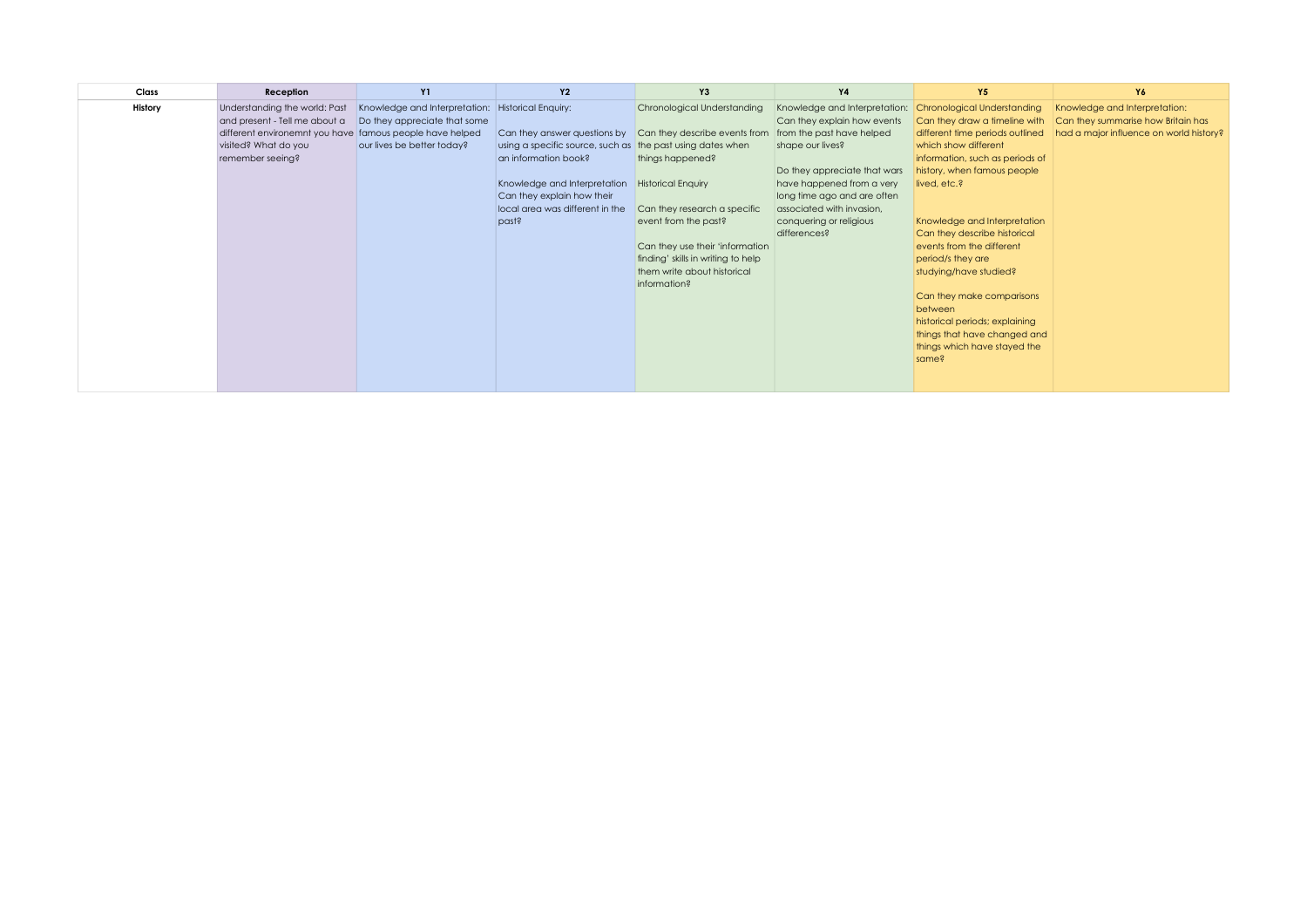| Class   | Reception                                                      | <b>Y1</b>                                                                         | <b>Y2</b>                        | <b>Y3</b>                          | <b>Y4</b>                                                    | <b>Y5</b>                                                           | Y6                                                                  |
|---------|----------------------------------------------------------------|-----------------------------------------------------------------------------------|----------------------------------|------------------------------------|--------------------------------------------------------------|---------------------------------------------------------------------|---------------------------------------------------------------------|
| History | Understanding the world: Past<br>and present - Tell me about a | Knowledge and Interpretation: Historical Enquiry:<br>Do they appreciate that some |                                  | Chronological Understanding        | Knowledge and Interpretation:<br>Can they explain how events | <b>Chronological Understanding</b><br>Can they draw a timeline with | Knowledge and Interpretation:<br>Can they summarise how Britain has |
|         | different environemnt you have famous people have helped       |                                                                                   | Can they answer questions by     | Can they describe events from      | from the past have helped                                    | different time periods outlined                                     | had a major influence on world history?                             |
|         | visited? What do you                                           | our lives be better today?                                                        | using a specific source, such as | the past using dates when          | shape our lives?                                             | which show different                                                |                                                                     |
|         | remember seeing?                                               |                                                                                   | an information book?             | things happened?                   |                                                              | information, such as periods of                                     |                                                                     |
|         |                                                                |                                                                                   |                                  |                                    | Do they appreciate that wars                                 | history, when famous people                                         |                                                                     |
|         |                                                                |                                                                                   | Knowledge and Interpretation     | <b>Historical Enquiry</b>          | have happened from a very                                    | lived, etc.?                                                        |                                                                     |
|         |                                                                |                                                                                   | Can they explain how their       |                                    | long time ago and are often                                  |                                                                     |                                                                     |
|         |                                                                |                                                                                   | local area was different in the  | Can they research a specific       | associated with invasion,                                    |                                                                     |                                                                     |
|         |                                                                |                                                                                   | past?                            | event from the past?               | conquering or religious                                      | Knowledge and Interpretation                                        |                                                                     |
|         |                                                                |                                                                                   |                                  |                                    | differences?                                                 | Can they describe historical                                        |                                                                     |
|         |                                                                |                                                                                   |                                  | Can they use their 'information    |                                                              | events from the different                                           |                                                                     |
|         |                                                                |                                                                                   |                                  | finding' skills in writing to help |                                                              | period/s they are                                                   |                                                                     |
|         |                                                                |                                                                                   |                                  | them write about historical        |                                                              | studying/have studied?                                              |                                                                     |
|         |                                                                |                                                                                   |                                  | information?                       |                                                              |                                                                     |                                                                     |
|         |                                                                |                                                                                   |                                  |                                    |                                                              | Can they make comparisons                                           |                                                                     |
|         |                                                                |                                                                                   |                                  |                                    |                                                              | between                                                             |                                                                     |
|         |                                                                |                                                                                   |                                  |                                    |                                                              | historical periods; explaining<br>things that have changed and      |                                                                     |
|         |                                                                |                                                                                   |                                  |                                    |                                                              | things which have stayed the                                        |                                                                     |
|         |                                                                |                                                                                   |                                  |                                    |                                                              | same?                                                               |                                                                     |
|         |                                                                |                                                                                   |                                  |                                    |                                                              |                                                                     |                                                                     |
|         |                                                                |                                                                                   |                                  |                                    |                                                              |                                                                     |                                                                     |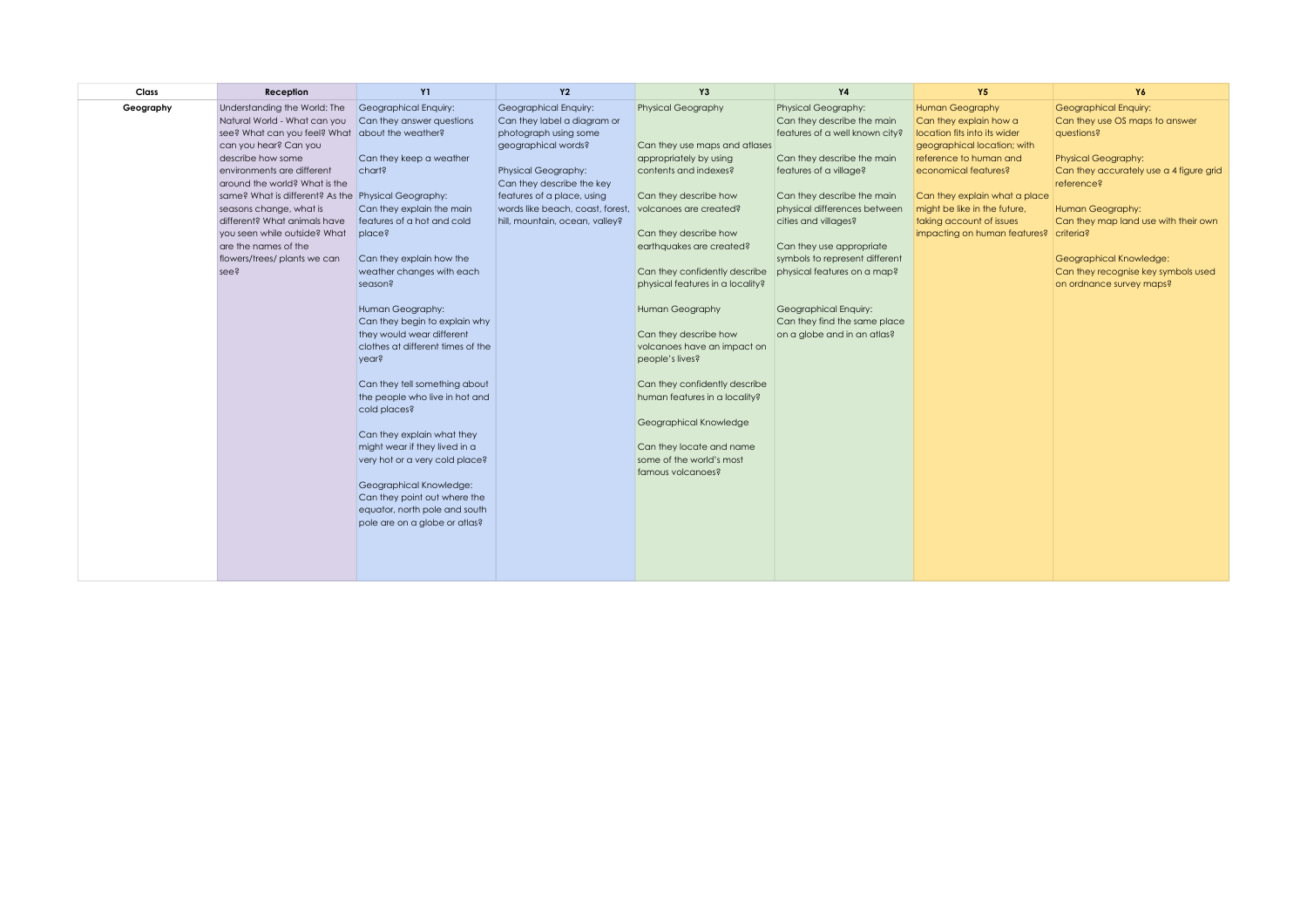| Class     | Reception                                           | <b>Y1</b>                            | <b>Y2</b>                        | Y3                               | <b>Y4</b>                      | <b>Y5</b>                     | Y6                                      |
|-----------|-----------------------------------------------------|--------------------------------------|----------------------------------|----------------------------------|--------------------------------|-------------------------------|-----------------------------------------|
| Geography | Understanding the World: The                        | Geographical Enquiry:                | Geographical Enquiry:            | <b>Physical Geography</b>        | Physical Geography:            | Human Geography               | Geographical Enquiry:                   |
|           | Natural World - What can you                        | Can they answer questions            | Can they label a diagram or      |                                  | Can they describe the main     | Can they explain how a        | Can they use OS maps to answer          |
|           | see? What can you feel? What                        | about the weather?                   | photograph using some            |                                  | features of a well known city? | location fits into its wider  | questions?                              |
|           | can you hear? Can you                               |                                      | geographical words?              | Can they use maps and atlases    |                                | geographical location; with   |                                         |
|           | describe how some                                   | Can they keep a weather              |                                  | appropriately by using           | Can they describe the main     | reference to human and        | <b>Physical Geography:</b>              |
|           | environments are different                          | chart?                               | Physical Geography:              | contents and indexes?            | features of a village?         | economical features?          | Can they accurately use a 4 figure grid |
|           | around the world? What is the                       |                                      | Can they describe the key        |                                  |                                |                               | reference?                              |
|           | same? What is different? As the Physical Geography: |                                      | features of a place, using       | Can they describe how            | Can they describe the main     | Can they explain what a place |                                         |
|           | seasons change, what is                             | Can they explain the main            | words like beach, coast, forest, | volcanoes are created?           | physical differences between   | might be like in the future,  | Human Geography:                        |
|           | different? What animals have                        | features of a hot and cold           | hill, mountain, ocean, valley?   |                                  | cities and villages?           | taking account of issues      | Can they map land use with their own    |
|           | vou seen while outside? What                        | place?                               |                                  | Can they describe how            |                                | impacting on human features?  | criteria?                               |
|           | are the names of the                                |                                      |                                  | earthquakes are created?         | Can they use appropriate       |                               |                                         |
|           | flowers/trees/ plants we can                        | Can they explain how the             |                                  |                                  | symbols to represent different |                               | Geographical Knowledge:                 |
|           | see?                                                | weather changes with each<br>season? |                                  | Can they confidently describe    | physical features on a map?    |                               | Can they recognise key symbols used     |
|           |                                                     |                                      |                                  | physical features in a locality? |                                |                               | on ordnance survey maps?                |
|           |                                                     | Human Geography:                     |                                  | Human Geography                  | Geographical Enquiry:          |                               |                                         |
|           |                                                     | Can they begin to explain why        |                                  |                                  | Can they find the same place   |                               |                                         |
|           |                                                     | they would wear different            |                                  | Can they describe how            | on a globe and in an atlas?    |                               |                                         |
|           |                                                     | clothes at different times of the    |                                  | volcanoes have an impact on      |                                |                               |                                         |
|           |                                                     | year?                                |                                  | people's lives?                  |                                |                               |                                         |
|           |                                                     |                                      |                                  |                                  |                                |                               |                                         |
|           |                                                     | Can they tell something about        |                                  | Can they confidently describe    |                                |                               |                                         |
|           |                                                     | the people who live in hot and       |                                  | human features in a locality?    |                                |                               |                                         |
|           |                                                     | cold places?                         |                                  |                                  |                                |                               |                                         |
|           |                                                     |                                      |                                  | Geographical Knowledge           |                                |                               |                                         |
|           |                                                     | Can they explain what they           |                                  |                                  |                                |                               |                                         |
|           |                                                     | might wear if they lived in a        |                                  | Can they locate and name         |                                |                               |                                         |
|           |                                                     | very hot or a very cold place?       |                                  | some of the world's most         |                                |                               |                                         |
|           |                                                     |                                      |                                  | famous volcanoes?                |                                |                               |                                         |
|           |                                                     | Geographical Knowledge:              |                                  |                                  |                                |                               |                                         |
|           |                                                     | Can they point out where the         |                                  |                                  |                                |                               |                                         |
|           |                                                     | equator, north pole and south        |                                  |                                  |                                |                               |                                         |
|           |                                                     | pole are on a globe or atlas?        |                                  |                                  |                                |                               |                                         |
|           |                                                     |                                      |                                  |                                  |                                |                               |                                         |
|           |                                                     |                                      |                                  |                                  |                                |                               |                                         |
|           |                                                     |                                      |                                  |                                  |                                |                               |                                         |
|           |                                                     |                                      |                                  |                                  |                                |                               |                                         |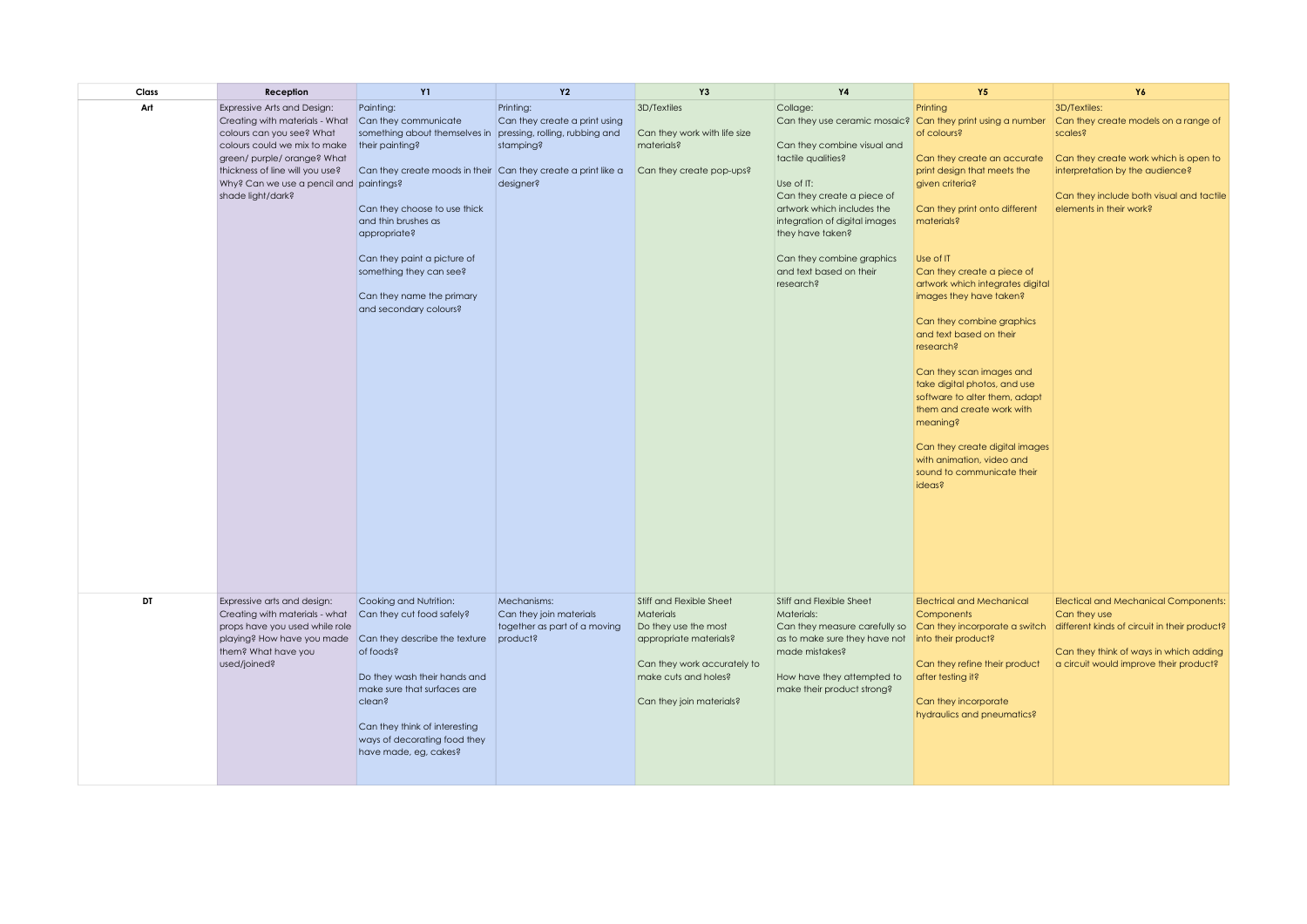| Class | Reception                                                                                                                                                                                                                                                    | <b>Y1</b>                                                                                                                                                                                                                                                                                                                                                                     | <b>Y2</b>                                                                          | Y3                                                                                                                                                                                | <b>Y4</b>                                                                                                                                                                                                                                                                                                                       | Y5                                                                                                                                                                                                                                                                                                                                                                                                                                                                                                                                                                                  | Y6                                                                                                                                                                                                                 |
|-------|--------------------------------------------------------------------------------------------------------------------------------------------------------------------------------------------------------------------------------------------------------------|-------------------------------------------------------------------------------------------------------------------------------------------------------------------------------------------------------------------------------------------------------------------------------------------------------------------------------------------------------------------------------|------------------------------------------------------------------------------------|-----------------------------------------------------------------------------------------------------------------------------------------------------------------------------------|---------------------------------------------------------------------------------------------------------------------------------------------------------------------------------------------------------------------------------------------------------------------------------------------------------------------------------|-------------------------------------------------------------------------------------------------------------------------------------------------------------------------------------------------------------------------------------------------------------------------------------------------------------------------------------------------------------------------------------------------------------------------------------------------------------------------------------------------------------------------------------------------------------------------------------|--------------------------------------------------------------------------------------------------------------------------------------------------------------------------------------------------------------------|
| Art   | Expressive Arts and Design:<br>Creating with materials - What<br>colours can you see? What<br>colours could we mix to make<br>green/ purple/ orange? What<br>thickness of line will you use?<br>Why? Can we use a pencil and paintings?<br>shade light/dark? | Painting:<br>Can they communicate<br>something about themselves in pressing, rolling, rubbing and<br>their painting?<br>Can they create moods in their Can they create a print like a<br>Can they choose to use thick<br>and thin brushes as<br>appropriate?<br>Can they paint a picture of<br>something they can see?<br>Can they name the primary<br>and secondary colours? | Printing:<br>Can they create a print using<br>stamping?<br>designer?               | 3D/Textiles<br>Can they work with life size<br>materials?<br>Can they create pop-ups?                                                                                             | Collage:<br>Can they use ceramic mosaic? Can they print using a number<br>Can they combine visual and<br>tactile qualities?<br>Use of IT:<br>Can they create a piece of<br>artwork which includes the<br>integration of digital images<br>they have taken?<br>Can they combine graphics<br>and text based on their<br>research? | Printing<br>of colours?<br>Can they create an accurate<br>print design that meets the<br>given criteria?<br>Can they print onto different<br>materials?<br>Use of IT<br>Can they create a piece of<br>artwork which integrates digital<br>images they have taken?<br>Can they combine graphics<br>and text based on their<br>research?<br>Can they scan images and<br>take digital photos, and use<br>software to alter them, adapt<br>them and create work with<br>meaning?<br>Can they create digital images<br>with animation, video and<br>sound to communicate their<br>ideas? | 3D/Textiles:<br>Can they create models on a range of<br>scales?<br>Can they create work which is open to<br>interpretation by the audience?<br>Can they include both visual and tactile<br>elements in their work? |
| DT    | Expressive arts and design:<br>Creating with materials - what<br>props have you used while role<br>playing? How have you made<br>them? What have you<br>used/joined?                                                                                         | Cooking and Nutrition:<br>Can they cut food safely?<br>Can they describe the texture<br>of foods?<br>Do they wash their hands and<br>make sure that surfaces are<br>clean?<br>Can they think of interesting<br>ways of decorating food they<br>have made, eg, cakes?                                                                                                          | Mechanisms:<br>Can they join materials<br>together as part of a moving<br>product? | Stiff and Flexible Sheet<br><b>Materials</b><br>Do they use the most<br>appropriate materials?<br>Can they work accurately to<br>make cuts and holes?<br>Can they join materials? | Stiff and Flexible Sheet<br>Materials:<br>Can they measure carefully so<br>as to make sure they have not into their product?<br>made mistakes?<br>How have they attempted to<br>make their product strong?                                                                                                                      | <b>Electrical and Mechanical</b><br><b>Components</b><br>Can they incorporate a switch<br>Can they refine their product<br>after testing it?<br>Can they incorporate<br>hydraulics and pneumatics?                                                                                                                                                                                                                                                                                                                                                                                  | <b>Electical and Mechanical Components:</b><br>Can they use<br>different kinds of circuit in their product?<br>Can they think of ways in which adding<br>a circuit would improve their product?                    |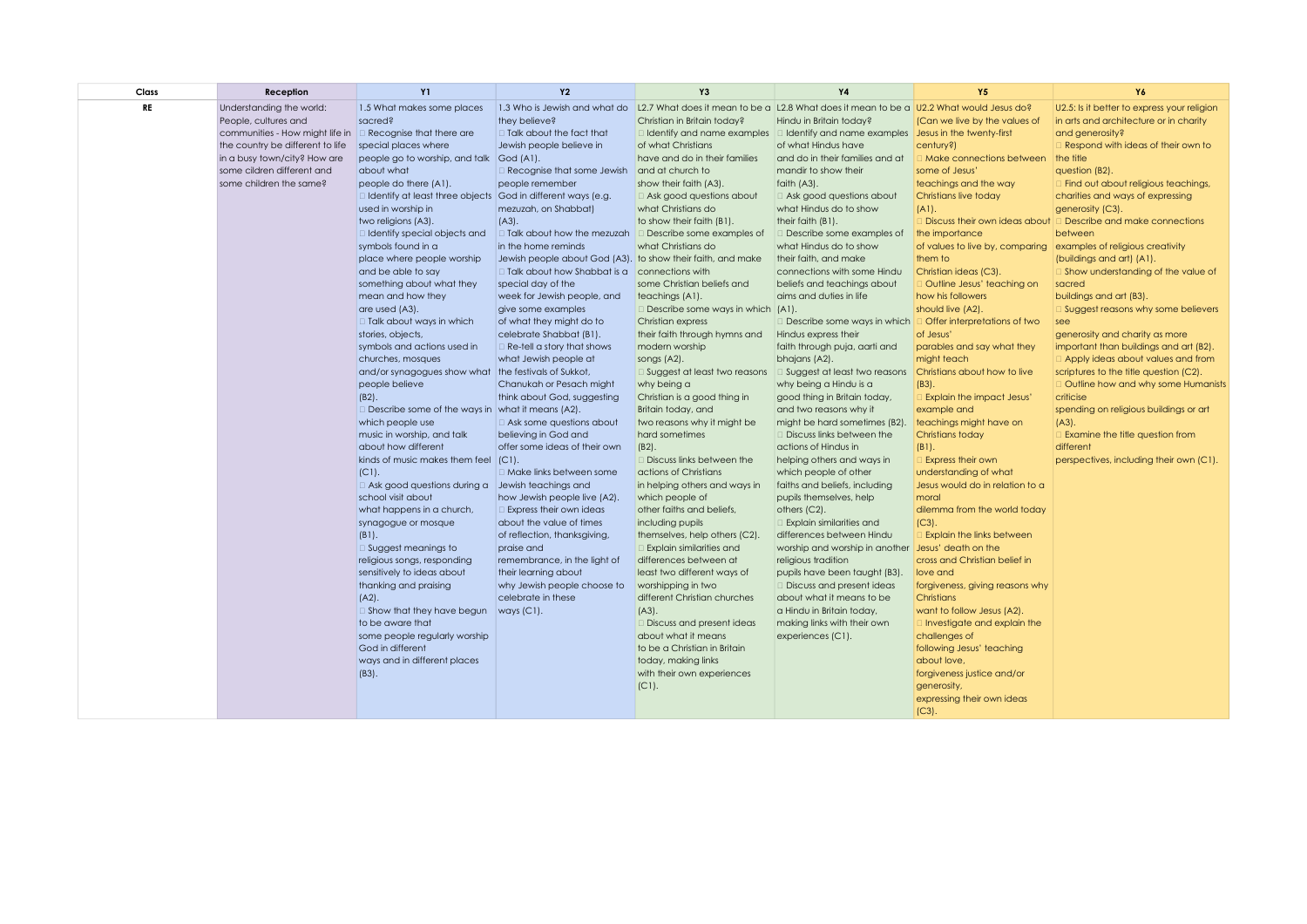| Class     | Reception                        | <b>Y1</b>                                                     | <b>Y2</b>                                                   | Y <sub>3</sub>                                     | <b>Y4</b>                                                                                                                   | <b>Y5</b>                                                        | Y6                                          |
|-----------|----------------------------------|---------------------------------------------------------------|-------------------------------------------------------------|----------------------------------------------------|-----------------------------------------------------------------------------------------------------------------------------|------------------------------------------------------------------|---------------------------------------------|
| <b>RE</b> | Understanding the world:         | 1.5 What makes some places                                    |                                                             |                                                    | 1.3 Who is Jewish and what do   L2.7 What does it mean to be a   L2.8 What does it mean to be a   U2.2 What would Jesus do? |                                                                  | U2.5: Is it better to express your religion |
|           | People, cultures and             | sacred?                                                       | they believe?                                               | Christian in Britain today?                        | Hindu in Britain today?                                                                                                     | (Can we live by the values of                                    | in arts and architecture or in charity      |
|           | communities - How might life in  | $\Box$ Recognise that there are                               | □ Talk about the fact that                                  |                                                    | I Identify and name examples   0 Identify and name examples   Jesus in the twenty-first                                     |                                                                  | and generosity?                             |
|           | the country be different to life | special places where                                          | Jewish people believe in                                    | of what Christians                                 | of what Hindus have                                                                                                         | century?)                                                        | Respond with ideas of their own to          |
|           | in a busy town/city? How are     | people go to worship, and talk God (A1).                      |                                                             | have and do in their families                      | and do in their families and at                                                                                             | <b>Make connections between</b>                                  | the title                                   |
|           | some cildren different and       | about what                                                    | $\Box$ Recognise that some Jewish and at church to          |                                                    | mandir to show their                                                                                                        | some of Jesus'                                                   | question (B2).                              |
|           | some children the same?          | people do there (A1).                                         | people remember                                             | show their faith (A3).                             | faith (A3).                                                                                                                 | teachings and the way                                            | □ Find out about religious teachings,       |
|           |                                  | □ Identify at least three objects God in different ways (e.g. |                                                             | $\Box$ Ask good questions about                    | $\Box$ Ask good questions about                                                                                             | Christians live today                                            | charities and ways of expressing            |
|           |                                  | used in worship in                                            | mezuzah, on Shabbat)                                        | what Christians do                                 | what Hindus do to show                                                                                                      | $(A1)$ .                                                         | generosity (C3).                            |
|           |                                  | two religions (A3).                                           | $(A3)$ .                                                    | to show their faith (B1).                          | their faith (B1).                                                                                                           | Discuss their own ideas about                                    | Describe and make connections               |
|           |                                  | I Identify special objects and                                | □ Talk about how the mezuzah                                | Describe some examples of                          | Describe some examples of                                                                                                   | the importance                                                   | between                                     |
|           |                                  | symbols found in a                                            | in the home reminds                                         | what Christians do                                 | what Hindus do to show                                                                                                      | of values to live by, comparing examples of religious creativity |                                             |
|           |                                  | place where people worship                                    | Jewish people about God (A3). to show their faith, and make |                                                    | their faith, and make                                                                                                       | them to                                                          | (buildings and art) (A1).                   |
|           |                                  | and be able to say                                            | $\Box$ Talk about how Shabbat is a connections with         |                                                    | connections with some Hindu                                                                                                 | Christian ideas (C3).                                            | $\Box$ Show understanding of the value of   |
|           |                                  | something about what they                                     | special day of the                                          | some Christian beliefs and                         | beliefs and teachings about                                                                                                 | Outline Jesus' teaching on                                       | sacred                                      |
|           |                                  | mean and how they                                             | week for Jewish people, and                                 | teachings (A1).                                    | aims and duties in life                                                                                                     | how his followers                                                | buildings and art (B3).                     |
|           |                                  | are used (A3).                                                | give some examples                                          | Describe some ways in which (A1).                  |                                                                                                                             | should live (A2).                                                | □ Suggest reasons why some believers        |
|           |                                  | $\Box$ Talk about ways in which                               | of what they might do to                                    | Christian express                                  | Describe some ways in which                                                                                                 | <b>Offer interpretations of two</b>                              | see                                         |
|           |                                  | stories, objects,                                             | celebrate Shabbat (B1).                                     | their faith through hymns and                      | Hindus express their                                                                                                        | of Jesus'                                                        | generosity and charity as more              |
|           |                                  | symbols and actions used in                                   | $\Box$ Re-tell a story that shows                           | modern worship                                     | faith through puja, aarti and                                                                                               | parables and say what they                                       | important than buildings and art (B2).      |
|           |                                  | churches, mosques                                             | what Jewish people at                                       | songs (A2).                                        | bhajans (A2).                                                                                                               | might teach                                                      | □ Apply ideas about values and from         |
|           |                                  | and/or synagogues show what the festivals of Sukkot,          |                                                             | □ Suggest at least two reasons                     | □ Suggest at least two reasons Christians about how to live                                                                 |                                                                  | scriptures to the title question (C2).      |
|           |                                  | people believe                                                | Chanukah or Pesach might                                    | why being a                                        | why being a Hindu is a                                                                                                      | $(B3)$ .                                                         | □ Outline how and why some Humanists        |
|           |                                  | $(B2)$ .                                                      | think about God, suggesting                                 | Christian is a good thing in                       | good thing in Britain today,                                                                                                | <b>Explain the impact Jesus'</b>                                 | criticise                                   |
|           |                                  | □ Describe some of the ways in what it means (A2).            |                                                             | Britain today, and                                 | and two reasons why it                                                                                                      | example and                                                      | spending on religious buildings or art      |
|           |                                  | which people use                                              | □ Ask some questions about                                  | two reasons why it might be                        | might be hard sometimes (B2).                                                                                               | teachings might have on                                          | $(A3)$ .                                    |
|           |                                  | music in worship, and talk                                    | believing in God and                                        | hard sometimes                                     | $\Box$ Discuss links between the                                                                                            | Christians today                                                 | Examine the title question from             |
|           |                                  | about how different                                           | offer some ideas of their own                               | $(B2)$ .                                           | actions of Hindus in                                                                                                        | $(B1)$ .                                                         | different                                   |
|           |                                  | kinds of music makes them feel (C1).                          |                                                             | Discuss links between the                          | helping others and ways in                                                                                                  | Express their own                                                | perspectives, including their own (C1).     |
|           |                                  | $(C1)$ .                                                      | □ Make links between some                                   | actions of Christians                              | which people of other                                                                                                       | understanding of what                                            |                                             |
|           |                                  | □ Ask good questions during a Jewish teachings and            |                                                             | in helping others and ways in                      | faiths and beliefs, including                                                                                               | Jesus would do in relation to a                                  |                                             |
|           |                                  | school visit about                                            | how Jewish people live (A2).                                | which people of                                    | pupils themselves, help                                                                                                     | moral                                                            |                                             |
|           |                                  | what happens in a church,                                     | $\Box$ Express their own ideas                              | other faiths and beliefs,                          | others (C2).                                                                                                                | dilemma from the world today                                     |                                             |
|           |                                  | synagogue or mosque                                           | about the value of times                                    | including pupils                                   | Explain similarities and                                                                                                    | $(C3)$ .                                                         |                                             |
|           |                                  | $(B1)$ .                                                      | of reflection, thanksgiving,                                | themselves, help others (C2).                      | differences between Hindu                                                                                                   | Explain the links between                                        |                                             |
|           |                                  | $\Box$ Suggest meanings to                                    | praise and                                                  | <b>Explain similarities and</b>                    | worship and worship in another Jesus' death on the                                                                          |                                                                  |                                             |
|           |                                  | religious songs, responding                                   | remembrance, in the light of                                | differences between at                             | religious tradition                                                                                                         | cross and Christian belief in                                    |                                             |
|           |                                  | sensitively to ideas about                                    | their learning about                                        | least two different ways of                        | pupils have been taught (B3).                                                                                               | love and                                                         |                                             |
|           |                                  | thanking and praising                                         | why Jewish people choose to<br>celebrate in these           | worshipping in two<br>different Christian churches | <b>Discuss and present ideas</b><br>about what it means to be                                                               | forgiveness, giving reasons why<br>Christians                    |                                             |
|           |                                  | $(A2)$ .<br>Show that they have begun                         | ways (C1)                                                   | $(A3)$ .                                           | a Hindu in Britain today,                                                                                                   | want to follow Jesus (A2).                                       |                                             |
|           |                                  | to be aware that                                              |                                                             | Discuss and present ideas                          | making links with their own                                                                                                 | Investigate and explain the                                      |                                             |
|           |                                  | some people regularly worship                                 |                                                             | about what it means                                | experiences (C1).                                                                                                           | challenges of                                                    |                                             |
|           |                                  | God in different                                              |                                                             | to be a Christian in Britain                       |                                                                                                                             | following Jesus' teaching                                        |                                             |
|           |                                  | ways and in different places                                  |                                                             | today, making links                                |                                                                                                                             | about love,                                                      |                                             |
|           |                                  | $(B3)$ .                                                      |                                                             | with their own experiences                         |                                                                                                                             | forgiveness justice and/or                                       |                                             |
|           |                                  |                                                               |                                                             | $(C1)$ .                                           |                                                                                                                             | generosity,                                                      |                                             |
|           |                                  |                                                               |                                                             |                                                    |                                                                                                                             | expressing their own ideas                                       |                                             |
|           |                                  |                                                               |                                                             |                                                    |                                                                                                                             | $(C3)$ .                                                         |                                             |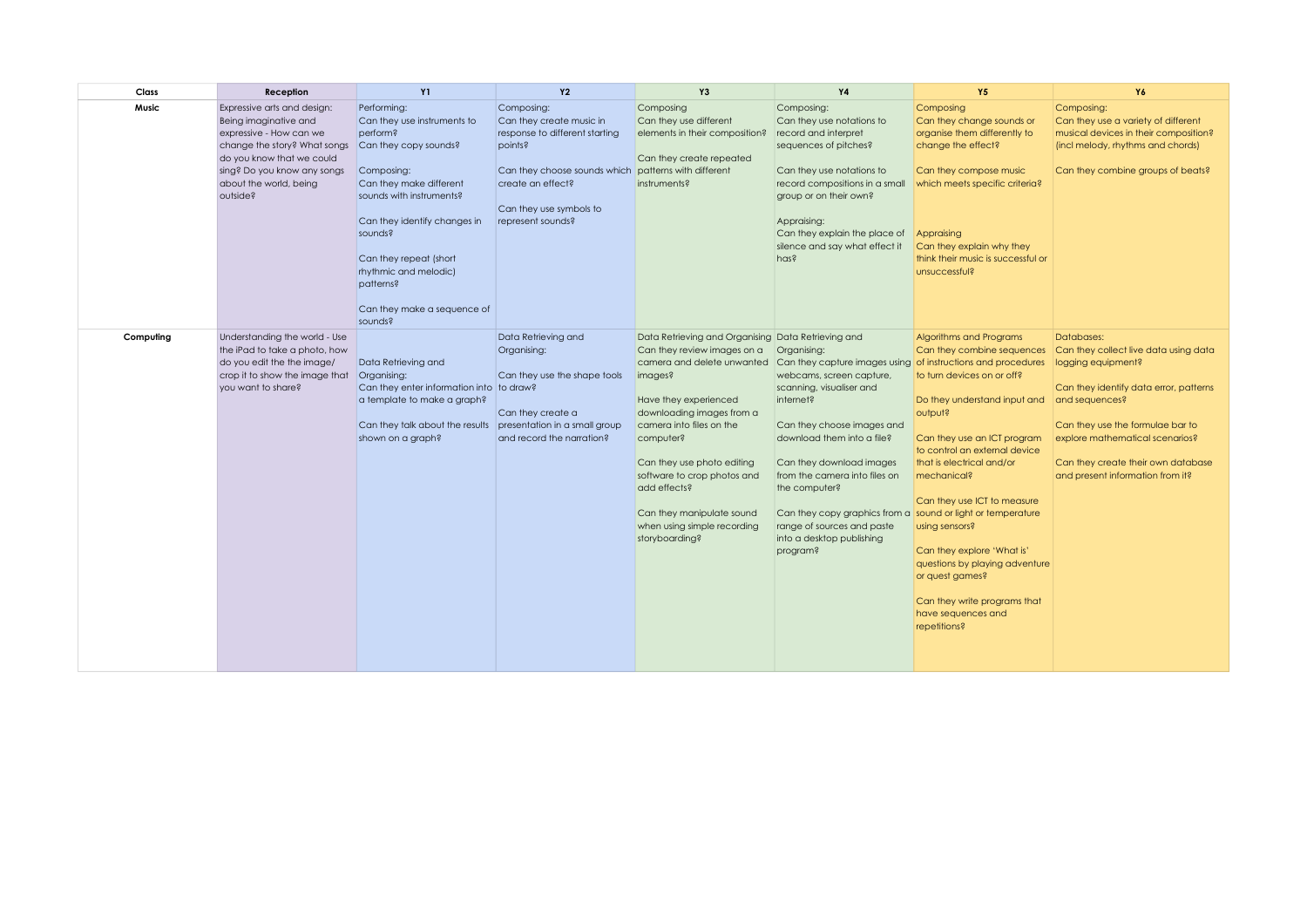| Class     | Reception                                                                                                                                                                   | <b>Y1</b>                                                                                                                                                                                                | <b>Y2</b>                                                                                                                                             | Y3                                                                                                                                                                                                                                                                                                                                                                                   | <b>Y4</b>                                                                                                                                                                                                                                                                                                                                                                                                                        | <b>Y5</b>                                                                                                                                                                                                                                                                                                                                                                                                      | Y6                                                                                                                                                                                                                                                                                     |
|-----------|-----------------------------------------------------------------------------------------------------------------------------------------------------------------------------|----------------------------------------------------------------------------------------------------------------------------------------------------------------------------------------------------------|-------------------------------------------------------------------------------------------------------------------------------------------------------|--------------------------------------------------------------------------------------------------------------------------------------------------------------------------------------------------------------------------------------------------------------------------------------------------------------------------------------------------------------------------------------|----------------------------------------------------------------------------------------------------------------------------------------------------------------------------------------------------------------------------------------------------------------------------------------------------------------------------------------------------------------------------------------------------------------------------------|----------------------------------------------------------------------------------------------------------------------------------------------------------------------------------------------------------------------------------------------------------------------------------------------------------------------------------------------------------------------------------------------------------------|----------------------------------------------------------------------------------------------------------------------------------------------------------------------------------------------------------------------------------------------------------------------------------------|
| Music     | Expressive arts and design:<br>Being imaginative and<br>expressive - How can we<br>change the story? What songs<br>do you know that we could<br>sing? Do you know any songs | Performing:<br>Can they use instruments to<br>perform?<br>Can they copy sounds?<br>Composing:                                                                                                            | Composing:<br>Can they create music in<br>response to different starting<br>points?<br>Can they choose sounds which patterns with different           | Composing<br>Can they use different<br>elements in their composition?<br>Can they create repeated                                                                                                                                                                                                                                                                                    | Composing:<br>Can they use notations to<br>record and interpret<br>sequences of pitches?<br>Can they use notations to                                                                                                                                                                                                                                                                                                            | Composing<br>Can they change sounds or<br>organise them differently to<br>change the effect?<br>Can they compose music                                                                                                                                                                                                                                                                                         | Composing:<br>Can they use a variety of different<br>musical devices in their composition?<br>(incl melody, rhythms and chords)<br>Can they combine groups of beats?                                                                                                                   |
|           | about the world, being<br>outside?                                                                                                                                          | Can they make different<br>sounds with instruments?<br>Can they identify changes in<br>sounds?<br>Can they repeat (short<br>rhythmic and melodic)<br>patterns?<br>Can they make a sequence of<br>sounds? | create an effect?<br>Can they use symbols to<br>represent sounds?                                                                                     | instruments?                                                                                                                                                                                                                                                                                                                                                                         | record compositions in a small<br>group or on their own?<br>Appraising:<br>Can they explain the place of<br>silence and say what effect it<br>has?                                                                                                                                                                                                                                                                               | which meets specific criteria?<br>Appraising<br>Can they explain why they<br>think their music is successful or<br>unsuccessful?                                                                                                                                                                                                                                                                               |                                                                                                                                                                                                                                                                                        |
| Computing | Understanding the world - Use<br>the iPad to take a photo, how<br>do you edit the the image/<br>crop it to show the image that<br>you want to share?                        | Data Retrieving and<br>Organising:<br>Can they enter information into to draw?<br>a template to make a graph?<br>Can they talk about the results<br>shown on a graph?                                    | Data Retrieving and<br>Organising:<br>Can they use the shape tools<br>Can they create a<br>presentation in a small group<br>and record the narration? | Data Retrieving and Organising Data Retrieving and<br>Can they review images on a<br>camera and delete unwanted<br>images?<br>Have they experienced<br>downloading images from a<br>camera into files on the<br>computer?<br>Can they use photo editing<br>software to crop photos and<br>add effects?<br>Can they manipulate sound<br>when using simple recording<br>storyboarding? | Organising:<br>Can they capture images using of instructions and procedures<br>webcams, screen capture,<br>scanning, visualiser and<br>internet?<br>Can they choose images and<br>download them into a file?<br>Can they download images<br>from the camera into files on<br>the computer?<br>Can they copy graphics from a sound or light or temperature<br>range of sources and paste<br>into a desktop publishing<br>program? | Algorithms and Programs<br>Can they combine sequences<br>to turn devices on or off?<br>Do they understand input and<br>output?<br>Can they use an ICT program<br>to control an external device<br>that is electrical and/or<br>mechanical?<br>Can they use ICT to measure<br>using sensors?<br>Can they explore 'What is'<br>questions by playing adventure<br>or quest games?<br>Can they write programs that | Databases:<br>Can they collect live data using data<br>logging equipment?<br>Can they identify data error, patterns<br>and sequences?<br>Can they use the formulae bar to<br>explore mathematical scenarios?<br>Can they create their own database<br>and present information from it? |
|           |                                                                                                                                                                             |                                                                                                                                                                                                          |                                                                                                                                                       |                                                                                                                                                                                                                                                                                                                                                                                      |                                                                                                                                                                                                                                                                                                                                                                                                                                  | have sequences and<br>repetitions?                                                                                                                                                                                                                                                                                                                                                                             |                                                                                                                                                                                                                                                                                        |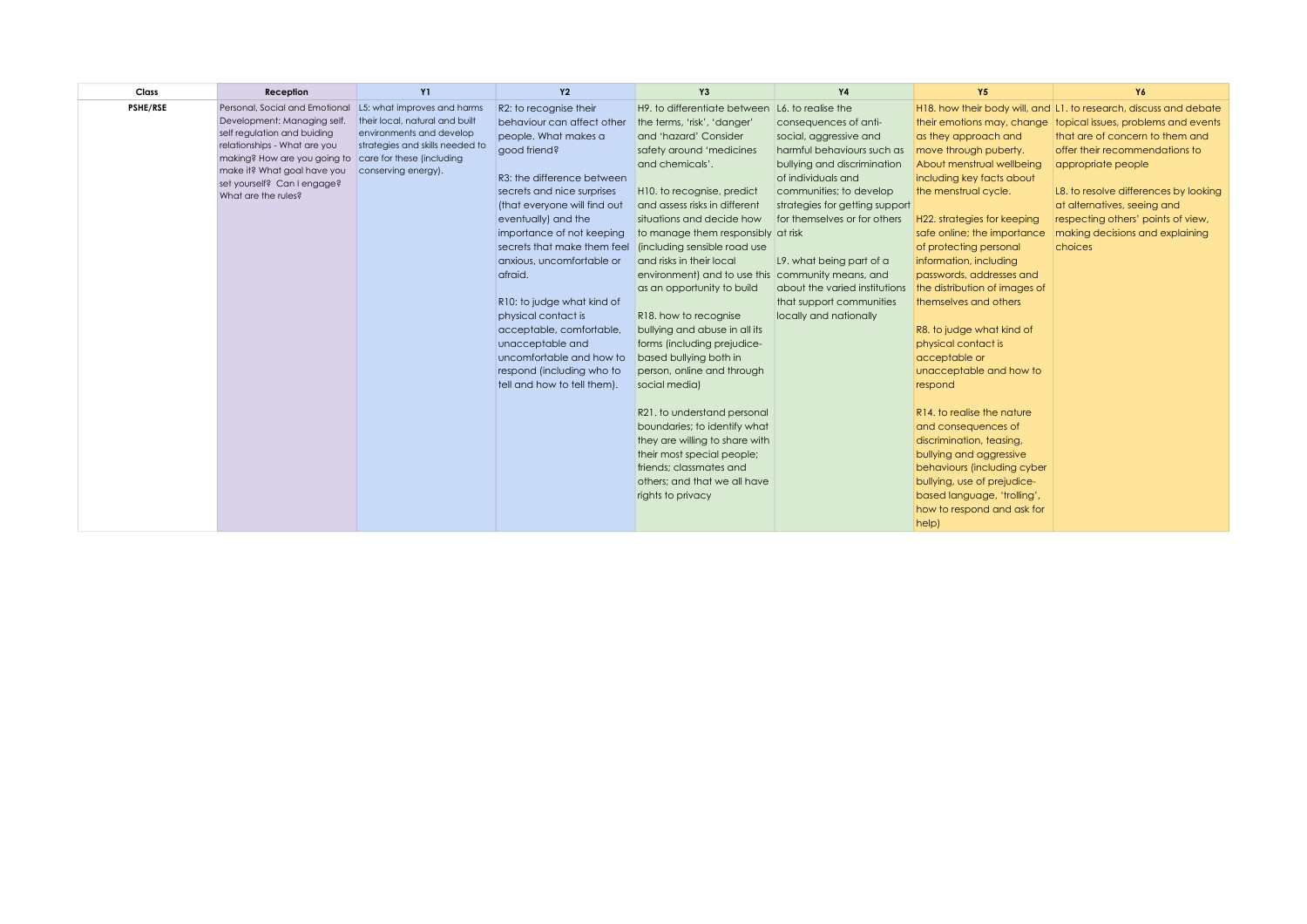| Class    | Reception                                                                                                                                                                                                                                         | <b>Y1</b>                                                                                                                                                                        | <b>Y2</b>                                                                                                                                                                                                                                                                                                                                                                                                                                                                                                        | Y3                                                                                                                                                                                                                                                                                                                                                                                                                                                                                                                                                                                                                                                                                                                                                                                                                             | <b>Y4</b>                                                                                                                                                                                                                                                                                                                                                                  | <b>Y5</b>                                                                                                                                                                                                                                                                                                                                                                                                                                                                                                                                                                                                                                                                                                                                     | Y6                                                                                                                                                                                                                                                                                                                                                              |
|----------|---------------------------------------------------------------------------------------------------------------------------------------------------------------------------------------------------------------------------------------------------|----------------------------------------------------------------------------------------------------------------------------------------------------------------------------------|------------------------------------------------------------------------------------------------------------------------------------------------------------------------------------------------------------------------------------------------------------------------------------------------------------------------------------------------------------------------------------------------------------------------------------------------------------------------------------------------------------------|--------------------------------------------------------------------------------------------------------------------------------------------------------------------------------------------------------------------------------------------------------------------------------------------------------------------------------------------------------------------------------------------------------------------------------------------------------------------------------------------------------------------------------------------------------------------------------------------------------------------------------------------------------------------------------------------------------------------------------------------------------------------------------------------------------------------------------|----------------------------------------------------------------------------------------------------------------------------------------------------------------------------------------------------------------------------------------------------------------------------------------------------------------------------------------------------------------------------|-----------------------------------------------------------------------------------------------------------------------------------------------------------------------------------------------------------------------------------------------------------------------------------------------------------------------------------------------------------------------------------------------------------------------------------------------------------------------------------------------------------------------------------------------------------------------------------------------------------------------------------------------------------------------------------------------------------------------------------------------|-----------------------------------------------------------------------------------------------------------------------------------------------------------------------------------------------------------------------------------------------------------------------------------------------------------------------------------------------------------------|
| PSHE/RSE | Personal, Social and Emotional<br>Development: Managing self.<br>self regulation and buiding<br>relationships - What are you<br>making? How are you going to<br>make it? What goal have you<br>set yourself? Can I engage?<br>What are the rules? | L5: what improves and harms<br>their local, natural and built<br>environments and develop<br>strategies and skills needed to<br>care for these (including<br>conserving energy). | R2: to recognise their<br>behaviour can affect other<br>people. What makes a<br>good friend?<br>R3: the difference between<br>secrets and nice surprises<br>(that everyone will find out<br>eventually) and the<br>importance of not keeping<br>secrets that make them feel<br>anxious, uncomfortable or<br>afraid.<br>R10: to judge what kind of<br>physical contact is<br>acceptable, comfortable,<br>unacceptable and<br>uncomfortable and how to<br>respond (including who to<br>tell and how to tell them). | H <sub>9</sub> . to differentiate between L <sub>6</sub> . to realise the<br>the terms, 'risk', 'danger'<br>and 'hazard' Consider<br>safety around 'medicines<br>and chemicals'.<br>H10. to recognise, predict<br>and assess risks in different<br>situations and decide how<br>to manage them responsibly at risk<br>(including sensible road use)<br>and risks in their local<br>environment) and to use this<br>as an opportunity to build<br>R18, how to recognise<br>bullying and abuse in all its<br>forms (including prejudice-<br>based bullying both in<br>person, online and through<br>social media)<br>R21. to understand personal<br>boundaries; to identify what<br>they are willing to share with<br>their most special people;<br>friends: classmates and<br>others: and that we all have<br>rights to privacy | consequences of anti-<br>social, aggressive and<br>harmful behaviours such as<br>bullying and discrimination<br>of individuals and<br>communities; to develop<br>strategies for getting support<br>for themselves or for others<br>L9. what being part of a<br>community means, and<br>about the varied institutions<br>that support communities<br>locally and nationally | their emotions may, change<br>as they approach and<br>move through puberty.<br>About menstrual wellbeing<br>including key facts about<br>the menstrual cycle.<br>H22, strategies for keeping<br>safe online; the importance<br>of protecting personal<br>information, including<br>passwords, addresses and<br>the distribution of images of<br>themselves and others<br>R8. to judge what kind of<br>physical contact is<br>acceptable or<br>unacceptable and how to<br>respond<br>R <sub>14</sub> , to realise the nature<br>and consequences of<br>discrimination, teasing,<br>bullying and aggressive<br>behaviours (including cyber<br>bullying, use of prejudice-<br>based language, 'trolling',<br>how to respond and ask for<br>help) | H18. how their body will, and L1. to research, discuss and debate<br>topical issues, problems and events<br>that are of concern to them and<br>offer their recommendations to<br>appropriate people<br>L8. to resolve differences by looking<br>at alternatives, seeing and<br>respecting others' points of view,<br>making decisions and explaining<br>choices |